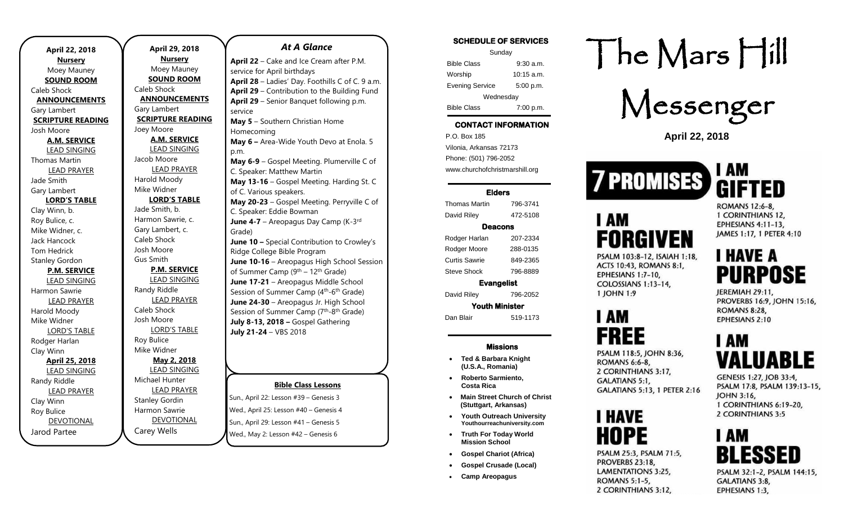| <b>April 22, 2018</b>    |  |  |
|--------------------------|--|--|
| <u>Nursery</u>           |  |  |
| Moey Mauney              |  |  |
| <b>SOUND ROOM</b>        |  |  |
| Caleb Shock              |  |  |
| <b>ANNOUNCEMENTS</b>     |  |  |
| Gary Lambert             |  |  |
| <b>SCRIPTURE READING</b> |  |  |
| Josh Moore               |  |  |
| <b>A.M. SERVICE</b>      |  |  |
| <b>LEAD SINGING</b>      |  |  |
| Thomas Martin            |  |  |
| <b>LEAD PRAYER</b>       |  |  |
| Jade Smith               |  |  |
| Gary Lambert             |  |  |
| <b>LORD'S TABLE</b>      |  |  |
| Clay Winn, b.            |  |  |
| Roy Bulice, c.           |  |  |
| Mike Widner, c.          |  |  |
| Jack Hancock             |  |  |
| Tom Hedrick              |  |  |
| <b>Stanley Gordon</b>    |  |  |
| <b>P.M. SERVICE</b>      |  |  |
| <b>LEAD SINGING</b>      |  |  |
| Harmon Sawrie            |  |  |
| <b>LEAD PRAYER</b>       |  |  |
| Harold Moody             |  |  |
| Mike Widner              |  |  |
| <b>LORD'S TABLE</b>      |  |  |
| Rodger Harlan            |  |  |
| Clay Winn                |  |  |
| April 25, 2018           |  |  |
| <b>LEAD SINGING</b>      |  |  |
| Randy Riddle             |  |  |
| <b>LEAD PRAYER</b>       |  |  |
| Clay Winn                |  |  |
| Roy Bulice               |  |  |
| <b>DEVOTIONAL</b>        |  |  |
| Jarod Partee             |  |  |

**April 29, 2018 Nursery** Moey Mauney **SOUND ROOM** Caleb Shock **ANNOUNCEMENTS** Gary Lambert **SCRIPTURE READING** Joey Moore **A.M. SERVICE** LEAD SINGING Jacob Moore LEAD PRAYER Harold Moody Mike Widner **LORD'S TABLE** Jade Smith, b. Harmon Sawrie, c. Gary Lambert, c. Caleb Shock Josh Moore Gus Smith **P.M. SERVICE** LEAD SINGING Randy Riddle LEAD PRAYER Caleb Shock Josh Moore LORD'S TABLE Roy Bulice Mike Widner **May 2, 2018** LEAD SINGING Michael Hunter LEAD PRAYER Stanley Gordin Harmon Sawrie DEVOTIONAL

Carey Wells

### *At A Glance*

**April 22** – Cake and Ice Cream after P.M. service for April birthdays **April 28** – Ladies' Day. Foothills C of C. 9 a.m. **April 29** – Contribution to the Building Fund **April 29** – Senior Banquet following p.m. service **May 5** – Southern Christian Home Homecoming **May 6 –** Area-Wide Youth Devo at Enola. 5 p.m. **May 6-9** – Gospel Meeting. Plumerville C of C. Speaker: Matthew Martin **May 13-16** – Gospel Meeting. Harding St. C of C. Various speakers. **May 20-23** – Gospel Meeting. Perryville C of C. Speaker: Eddie Bowman June 4-7 - Areopagus Day Camp (K-3<sup>rd</sup> Grade) **June 10 –** Special Contribution to Crowley's Ridge College Bible Program **June 10-16** – Areopagus High School Session of Summer Camp (9th – 12th Grade) **June 17-21** – Areopagus Middle School Session of Summer Camp (4<sup>th</sup>-6<sup>th</sup> Grade) **June 24-30** – Areopagus Jr. High School Session of Summer Camp (7<sup>th</sup>-8<sup>th</sup> Grade) **July 8-13, 2018 –** Gospel Gathering **July 21-24** – VBS 2018

## **Bible Class Lessons**

Sun., April 22: Lesson #39 – Genesis 3 Wed., April 25: Lesson #40 – Genesis 4 Sun., April 29: Lesson #41 – Genesis 5 Wed., May 2: Lesson #42 – Genesis 6

| <b>SCHEDULE OF SERVICES</b> |                      |  |
|-----------------------------|----------------------|--|
| Sunday                      |                      |  |
| <b>Bible Class</b>          | $9:30$ a.m.          |  |
| Worship                     | $10:15 \text{ a.m.}$ |  |
| <b>Evening Service</b>      | 5:00 p.m.            |  |
| Wednesday                   |                      |  |
| <b>Bible Class</b>          | 7:00 p.m.            |  |

## **CONTACT INFORMATION**

. .o. Box 166<br>Vilonia, Arkansas 72173 P.O. Box 185 Phone: (501) 796-2052 www.churchofchristmarshill.org

#### **Elders**

Thomas Martin 796-3741 David Riley 472-5108 **Deacons** 

| Evanaalist         |          |  |
|--------------------|----------|--|
| <b>Steve Shock</b> | 796-8889 |  |
| Curtis Sawrie      | 849-2365 |  |
| Rodger Moore       | 288-0135 |  |
| Rodger Harlan      | 207-2334 |  |

**Evangelist** 

David Riley 796-2052 **Youth Minister** 

Dan Blair 519-1173

### **Missions**

- **Ted & Barbara Knight (U.S.A., Romania)**
- **Roberto Sarmiento, Costa Rica**
- **Main Street Church of Christ (Stuttgart, Arkansas)**
- **Youth Outreach University Youthourreachuniversity.com**
- **Truth For Today World Mission School**
- 
- **Gospel Crusade (Local)**
- **Camp Areopagus**

# The Mars Hill

Messenger

**April 22, 2018**



**FORGIVEN** 

PSALM 103:8-12, ISAIAH 1:18, ACTS 10:43, ROMANS 8:1,

EPHESIANS 1:7-10, COLOSSIANS 1:13-14.

1 JOHN 1:9

I AM

**FREE** 

ROMANS 6:6-8. 2 CORINTHIANS 3:17,

GALATIANS 5:1,

I HAVE

HOPE

**ROMANS 5:1-5.** 

2 CORINTHIANS 3:12,

PSALM 118:5, JOHN 8:36,

PSALM 25:3, PSALM 71:5, PROVERBS 23:18, **LAMENTATIONS 3:25.** 

**GALATIANS 5:13, 1 PETER 2:16** 

I AM

**I AM** GIFTED ROMANS 12:6-8.

1 CORINTHIANS 12. **EPHESIANS 4:11-13.** JAMES 1:17, 1 PETER 4:10

## **HAVE A** PURPOSE

JEREMIAH 29:11, PROVERBS 16:9, JOHN 15:16, **ROMANS 8:28, EPHESIANS 2:10** 

## I AM VALUABLE

GENESIS 1:27, JOB 33:4, PSALM 17:8, PSALM 139:13-15, JOHN 3:16, 1 CORINTHIANS 6:19-20. 2 CORINTHIANS 3:5

## I AM

PSALM 32:1-2, PSALM 144:15, GALATIANS 3:8, EPHESIANS 1:3,

- 
- 
- 
- 
- **Gospel Chariot (Africa)**